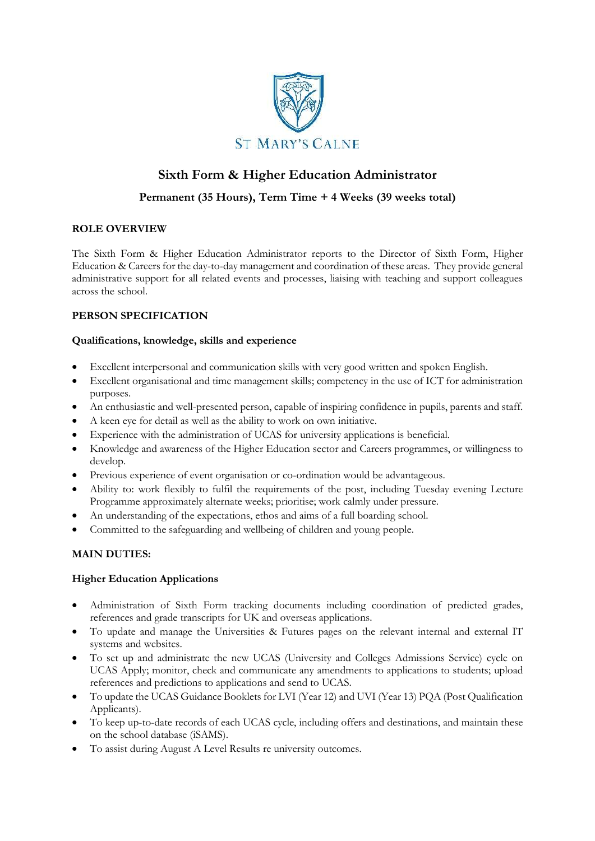

# **Sixth Form & Higher Education Administrator**

## **Permanent (35 Hours), Term Time + 4 Weeks (39 weeks total)**

## **ROLE OVERVIEW**

The Sixth Form & Higher Education Administrator reports to the Director of Sixth Form, Higher Education & Careers for the day-to-day management and coordination of these areas. They provide general administrative support for all related events and processes, liaising with teaching and support colleagues across the school.

## **PERSON SPECIFICATION**

### **Qualifications, knowledge, skills and experience**

- Excellent interpersonal and communication skills with very good written and spoken English.
- Excellent organisational and time management skills; competency in the use of ICT for administration purposes.
- An enthusiastic and well-presented person, capable of inspiring confidence in pupils, parents and staff.
- A keen eye for detail as well as the ability to work on own initiative.
- Experience with the administration of UCAS for university applications is beneficial.
- Knowledge and awareness of the Higher Education sector and Careers programmes, or willingness to develop.
- Previous experience of event organisation or co-ordination would be advantageous.
- Ability to: work flexibly to fulfil the requirements of the post, including Tuesday evening Lecture Programme approximately alternate weeks; prioritise; work calmly under pressure.
- An understanding of the expectations, ethos and aims of a full boarding school.
- Committed to the safeguarding and wellbeing of children and young people.

### **MAIN DUTIES:**

### **Higher Education Applications**

- Administration of Sixth Form tracking documents including coordination of predicted grades, references and grade transcripts for UK and overseas applications.
- To update and manage the Universities & Futures pages on the relevant internal and external IT systems and websites.
- To set up and administrate the new UCAS (University and Colleges Admissions Service) cycle on UCAS Apply; monitor, check and communicate any amendments to applications to students; upload references and predictions to applications and send to UCAS.
- To update the UCAS Guidance Booklets for LVI (Year 12) and UVI (Year 13) PQA (Post Qualification Applicants).
- To keep up-to-date records of each UCAS cycle, including offers and destinations, and maintain these on the school database (iSAMS).
- To assist during August A Level Results re university outcomes.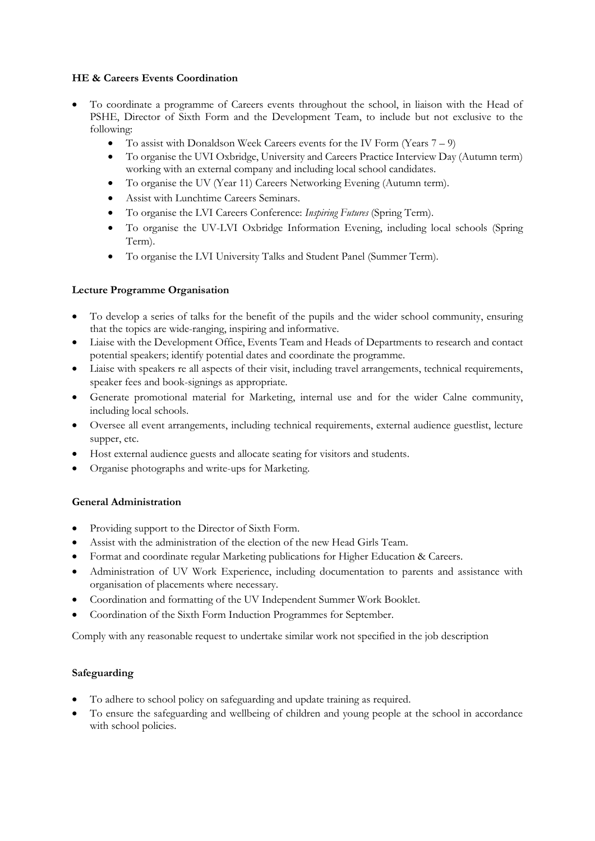### **HE & Careers Events Coordination**

- To coordinate a programme of Careers events throughout the school, in liaison with the Head of PSHE, Director of Sixth Form and the Development Team, to include but not exclusive to the following:
	- To assist with Donaldson Week Careers events for the IV Form (Years 7 9)
	- To organise the UVI Oxbridge, University and Careers Practice Interview Day (Autumn term) working with an external company and including local school candidates.
	- To organise the UV (Year 11) Careers Networking Evening (Autumn term).
	- Assist with Lunchtime Careers Seminars.
	- To organise the LVI Careers Conference: *Inspiring Futures* (Spring Term).
	- To organise the UV-LVI Oxbridge Information Evening, including local schools (Spring Term).
	- To organise the LVI University Talks and Student Panel (Summer Term).

### **Lecture Programme Organisation**

- To develop a series of talks for the benefit of the pupils and the wider school community, ensuring that the topics are wide-ranging, inspiring and informative.
- Liaise with the Development Office, Events Team and Heads of Departments to research and contact potential speakers; identify potential dates and coordinate the programme.
- Liaise with speakers re all aspects of their visit, including travel arrangements, technical requirements, speaker fees and book-signings as appropriate.
- Generate promotional material for Marketing, internal use and for the wider Calne community, including local schools.
- Oversee all event arrangements, including technical requirements, external audience guestlist, lecture supper, etc.
- Host external audience guests and allocate seating for visitors and students.
- Organise photographs and write-ups for Marketing.

### **General Administration**

- Providing support to the Director of Sixth Form.
- Assist with the administration of the election of the new Head Girls Team.
- Format and coordinate regular Marketing publications for Higher Education & Careers.
- Administration of UV Work Experience, including documentation to parents and assistance with organisation of placements where necessary.
- Coordination and formatting of the UV Independent Summer Work Booklet.
- Coordination of the Sixth Form Induction Programmes for September.

Comply with any reasonable request to undertake similar work not specified in the job description

### **Safeguarding**

- To adhere to school policy on safeguarding and update training as required.
- To ensure the safeguarding and wellbeing of children and young people at the school in accordance with school policies.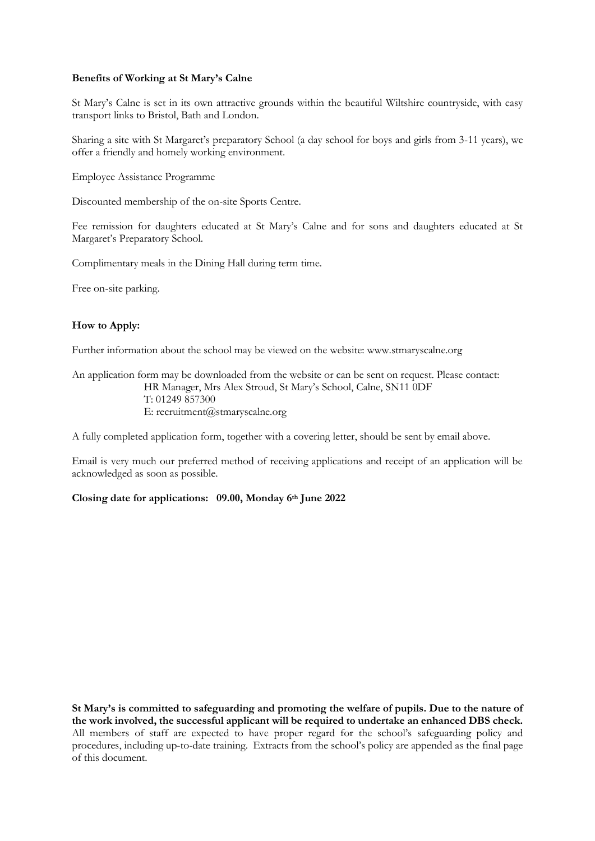#### **Benefits of Working at St Mary's Calne**

St Mary's Calne is set in its own attractive grounds within the beautiful Wiltshire countryside, with easy transport links to Bristol, Bath and London.

Sharing a site with St Margaret's preparatory School (a day school for boys and girls from 3-11 years), we offer a friendly and homely working environment.

Employee Assistance Programme

Discounted membership of the on-site Sports Centre.

Fee remission for daughters educated at St Mary's Calne and for sons and daughters educated at St Margaret's Preparatory School.

Complimentary meals in the Dining Hall during term time.

Free on-site parking.

#### **How to Apply:**

Further information about the school may be viewed on the website: www.stmaryscalne.org

An application form may be downloaded from the website or can be sent on request. Please contact: HR Manager, Mrs Alex Stroud, St Mary's School, Calne, SN11 0DF T: 01249 857300 E: recruitment@stmaryscalne.org

A fully completed application form, together with a covering letter, should be sent by email above.

Email is very much our preferred method of receiving applications and receipt of an application will be acknowledged as soon as possible.

**Closing date for applications: 09.00, Monday 6th June 2022**

**St Mary's is committed to safeguarding and promoting the welfare of pupils. Due to the nature of the work involved, the successful applicant will be required to undertake an enhanced DBS check.**  All members of staff are expected to have proper regard for the school's safeguarding policy and procedures, including up-to-date training. Extracts from the school's policy are appended as the final page of this document.